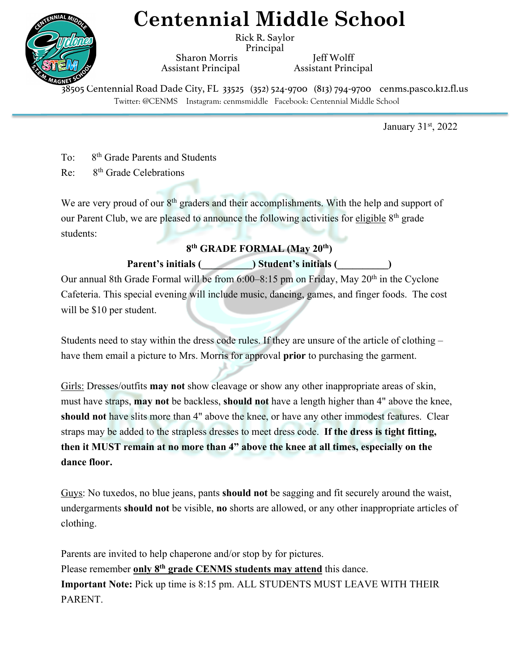# **Centennial Middle School**

Rick R. Saylor Principal

Sharon Morris **Jeff Wolff** Assistant Principal Assistant Principal

Twitter: @CENMS Instagram: cenmsmiddle Facebook: Centennial Middle School 38505 Centennial Road Dade City, FL 33525 (352) 524-9700 (813) 794-9700 cenms.pasco.k12.fl.us

January 31<sup>st</sup>, 2022

To: 8th Grade Parents and Students

Re: 8th Grade Celebrations

We are very proud of our  $8<sup>th</sup>$  graders and their accomplishments. With the help and support of our Parent Club, we are pleased to announce the following activities for eligible 8<sup>th</sup> grade students:

### **8th GRADE FORMAL (May 20th)**

### Parent's initials (  $\qquad \qquad$  ) Student's initials (

Our annual 8th Grade Formal will be from  $6:00-8:15$  pm on Friday, May  $20<sup>th</sup>$  in the Cyclone Cafeteria. This special evening will include music, dancing, games, and finger foods. The cost will be \$10 per student.

Students need to stay within the dress code rules. If they are unsure of the article of clothing – have them email a picture to Mrs. Morris for approval **prior** to purchasing the garment.

Girls: Dresses/outfits **may not** show cleavage or show any other inappropriate areas of skin, must have straps, **may not** be backless, **should not** have a length higher than 4" above the knee, **should not** have slits more than 4" above the knee, or have any other immodest features. Clear straps may be added to the strapless dresses to meet dress code. **If the dress is tight fitting, then it MUST remain at no more than 4" above the knee at all times, especially on the dance floor.**

Guys: No tuxedos, no blue jeans, pants **should not** be sagging and fit securely around the waist, undergarments **should not** be visible, **no** shorts are allowed, or any other inappropriate articles of clothing.

Parents are invited to help chaperone and/or stop by for pictures. Please remember **only 8th grade CENMS students may attend** this dance. **Important Note:** Pick up time is 8:15 pm. ALL STUDENTS MUST LEAVE WITH THEIR PARENT.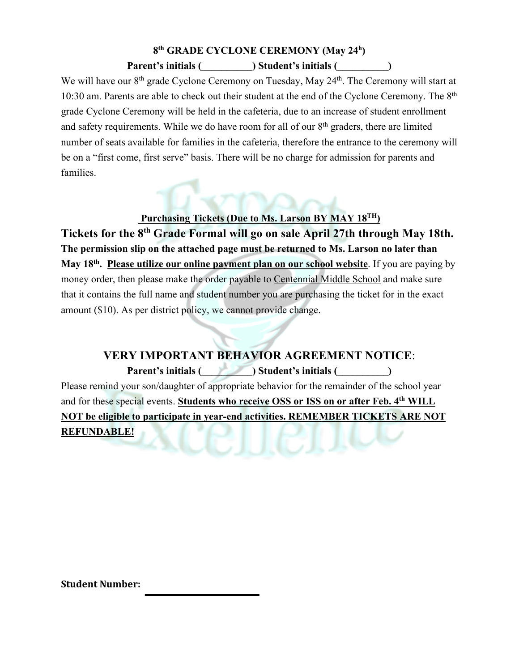# **8th GRADE CYCLONE CEREMONY (May 24h)**

#### Parent's initials (Butcherry initials (Butcherry initials (Butcherry initials (Butcherry initials (Butcherry initials (Butcherry initials (Butcherry initials (Butcherry initials (Butcherry initials (Butcherry initials (But

We will have our 8<sup>th</sup> grade Cyclone Ceremony on Tuesday, May 24<sup>th</sup>. The Ceremony will start at 10:30 am. Parents are able to check out their student at the end of the Cyclone Ceremony. The 8<sup>th</sup> grade Cyclone Ceremony will be held in the cafeteria, due to an increase of student enrollment and safety requirements. While we do have room for all of our  $8<sup>th</sup>$  graders, there are limited number of seats available for families in the cafeteria, therefore the entrance to the ceremony will be on a "first come, first serve" basis. There will be no charge for admission for parents and families.

### **Purchasing Tickets (Due to Ms. Larson BY MAY 18TH)**

**Tickets for the 8th Grade Formal will go on sale April 27th through May 18th. The permission slip on the attached page must be returned to Ms. Larson no later than May 18th. Please utilize our online payment plan on our school website**. If you are paying by money order, then please make the order payable to Centennial Middle School and make sure that it contains the full name and student number you are purchasing the ticket for in the exact amount (\$10). As per district policy, we cannot provide change.

**VERY IMPORTANT BEHAVIOR AGREEMENT NOTICE**: Parent's initials (  $\qquad \qquad$  ) Student's initials (  $\qquad \qquad$  ) Please remind your son/daughter of appropriate behavior for the remainder of the school year and for these special events. **Students who receive OSS or ISS on or after Feb. 4th WILL NOT be eligible to participate in year-end activities. REMEMBER TICKETS ARE NOT REFUNDABLE!**

**Student Number:**